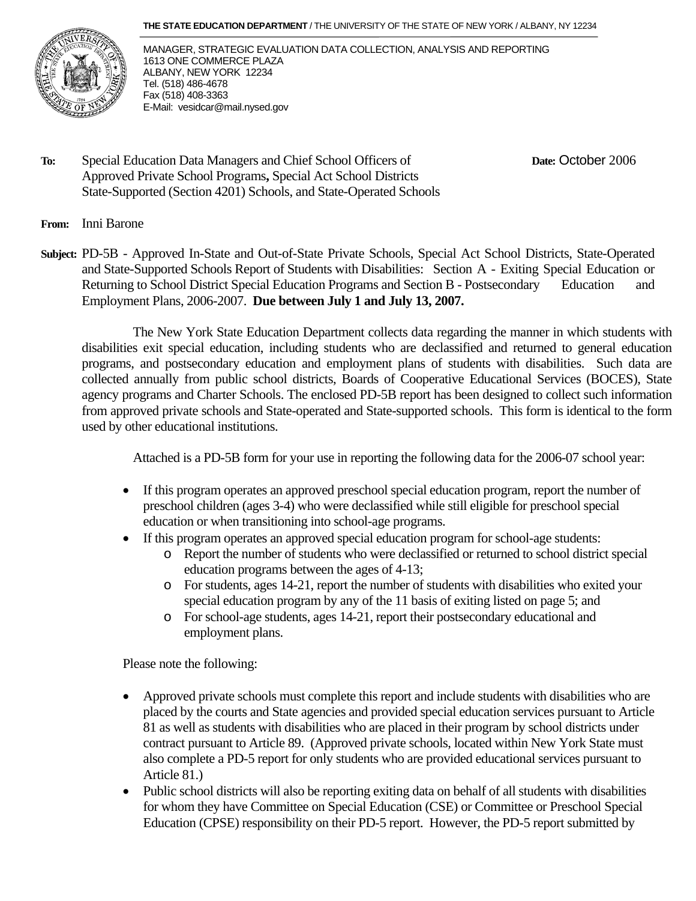#### **THE STATE EDUCATION DEPARTMENT** / THE UNIVERSITY OF THE STATE OF NEW YORK / ALBANY, NY 12234



MANAGER, STRATEGIC EVALUATION DATA COLLECTION, ANALYSIS AND REPORTING 1613 ONE COMMERCE PLAZA ALBANY, NEW YORK 12234 Tel. (518) 486-4678 Fax (518) 408-3363 E-Mail: vesidcar@mail.nysed.gov

**To:** Special Education Data Managers and Chief School Officers of **Date:** October 2006 Approved Private School Programs**,** Special Act School Districts State-Supported (Section 4201) Schools, and State-Operated Schools

#### **From:** Inni Barone

**Subject:** PD-5B - Approved In-State and Out-of-State Private Schools, Special Act School Districts, State-Operated and State-Supported Schools Report of Students with Disabilities: Section A - Exiting Special Education or Returning to School District Special Education Programs and Section B - Postsecondary Education and Employment Plans, 2006-2007. **Due between July 1 and July 13, 2007.**

The New York State Education Department collects data regarding the manner in which students with disabilities exit special education, including students who are declassified and returned to general education programs, and postsecondary education and employment plans of students with disabilities. Such data are collected annually from public school districts, Boards of Cooperative Educational Services (BOCES), State agency programs and Charter Schools. The enclosed PD-5B report has been designed to collect such information from approved private schools and State-operated and State-supported schools. This form is identical to the form used by other educational institutions.

Attached is a PD-5B form for your use in reporting the following data for the 2006-07 school year:

- If this program operates an approved preschool special education program, report the number of preschool children (ages 3-4) who were declassified while still eligible for preschool special education or when transitioning into school-age programs.
- If this program operates an approved special education program for school-age students:
	- o Report the number of students who were declassified or returned to school district special education programs between the ages of 4-13;
	- o For students, ages 14-21, report the number of students with disabilities who exited your special education program by any of the 11 basis of exiting listed on page 5; and
	- o For school-age students, ages 14-21, report their postsecondary educational and employment plans.

Please note the following:

- Approved private schools must complete this report and include students with disabilities who are placed by the courts and State agencies and provided special education services pursuant to Article 81 as well as students with disabilities who are placed in their program by school districts under contract pursuant to Article 89. (Approved private schools, located within New York State must also complete a PD-5 report for only students who are provided educational services pursuant to Article 81.)
- Public school districts will also be reporting exiting data on behalf of all students with disabilities for whom they have Committee on Special Education (CSE) or Committee or Preschool Special Education (CPSE) responsibility on their PD-5 report. However, the PD-5 report submitted by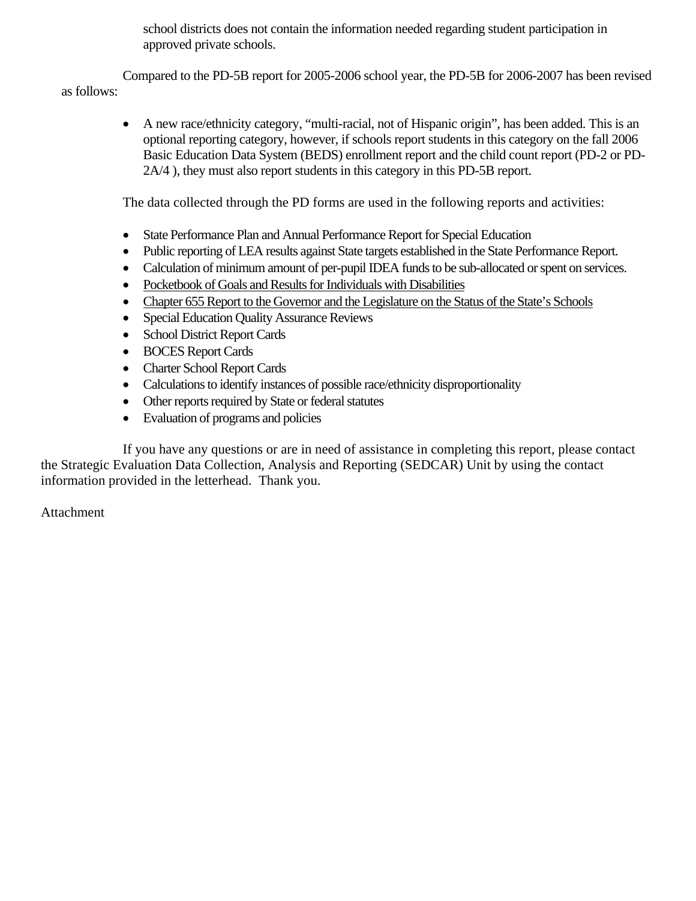school districts does not contain the information needed regarding student participation in approved private schools.

 Compared to the PD-5B report for 2005-2006 school year, the PD-5B for 2006-2007 has been revised as follows:

• A new race/ethnicity category, "multi-racial, not of Hispanic origin", has been added. This is an optional reporting category, however, if schools report students in this category on the fall 2006 Basic Education Data System (BEDS) enrollment report and the child count report (PD-2 or PD-2A/4 ), they must also report students in this category in this PD-5B report.

The data collected through the PD forms are used in the following reports and activities:

- State Performance Plan and Annual Performance Report for Special Education
- Public reporting of LEA results against State targets established in the State Performance Report.
- Calculation of minimum amount of per-pupil IDEA funds to be sub-allocated or spent on services.
- Pocketbook of Goals and Results for Individuals with Disabilities
- Chapter 655 Report to the Governor and the Legislature on the Status of the State's Schools
- Special Education Quality Assurance Reviews
- School District Report Cards
- BOCES Report Cards
- Charter School Report Cards
- Calculations to identify instances of possible race/ethnicity disproportionality
- Other reports required by State or federal statutes
- Evaluation of programs and policies

 If you have any questions or are in need of assistance in completing this report, please contact the Strategic Evaluation Data Collection, Analysis and Reporting (SEDCAR) Unit by using the contact information provided in the letterhead. Thank you.

Attachment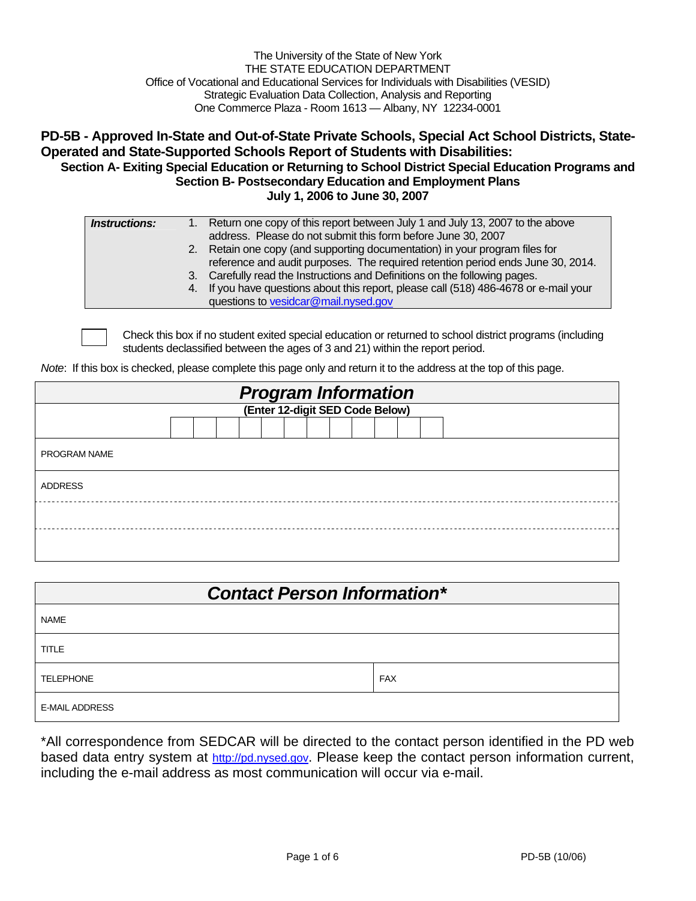| The University of the State of New York                                                 |
|-----------------------------------------------------------------------------------------|
| THE STATE EDUCATION DEPARTMENT                                                          |
| Office of Vocational and Educational Services for Individuals with Disabilities (VESID) |
| Strategic Evaluation Data Collection, Analysis and Reporting                            |
| One Commerce Plaza - Room 1613 - Albany, NY 12234-0001                                  |

#### **PD-5B - Approved In-State and Out-of-State Private Schools, Special Act School Districts, State-Operated and State-Supported Schools Report of Students with Disabilities: Section A- Exiting Special Education or Returning to School District Special Education Programs and Section B- Postsecondary Education and Employment Plans July 1, 2006 to June 30, 2007**

| <i><b>Instructions:</b></i> | 1. Return one copy of this report between July 1 and July 13, 2007 to the above       |
|-----------------------------|---------------------------------------------------------------------------------------|
|                             | address. Please do not submit this form before June 30, 2007                          |
|                             | 2. Retain one copy (and supporting documentation) in your program files for           |
|                             | reference and audit purposes. The required retention period ends June 30, 2014.       |
|                             | 3. Carefully read the Instructions and Definitions on the following pages.            |
|                             | 4. If you have questions about this report, please call (518) 486-4678 or e-mail your |
|                             | questions to vesidcar@mail.nysed.gov                                                  |

Check this box if no student exited special education or returned to school district programs (including students declassified between the ages of 3 and 21) within the report period.

*Note*: If this box is checked, please complete this page only and return it to the address at the top of this page.

| <b>Program Information</b><br>(Enter 12-digit SED Code Below) |  |  |  |  |  |  |  |  |  |  |  |  |  |
|---------------------------------------------------------------|--|--|--|--|--|--|--|--|--|--|--|--|--|
|                                                               |  |  |  |  |  |  |  |  |  |  |  |  |  |
|                                                               |  |  |  |  |  |  |  |  |  |  |  |  |  |
| PROGRAM NAME                                                  |  |  |  |  |  |  |  |  |  |  |  |  |  |
| <b>ADDRESS</b>                                                |  |  |  |  |  |  |  |  |  |  |  |  |  |
|                                                               |  |  |  |  |  |  |  |  |  |  |  |  |  |
|                                                               |  |  |  |  |  |  |  |  |  |  |  |  |  |

| <b>Contact Person Information*</b> |            |  |  |  |  |  |  |  |
|------------------------------------|------------|--|--|--|--|--|--|--|
| <b>NAME</b>                        |            |  |  |  |  |  |  |  |
| <b>TITLE</b>                       |            |  |  |  |  |  |  |  |
| TELEPHONE                          | <b>FAX</b> |  |  |  |  |  |  |  |
| <b>E-MAIL ADDRESS</b>              |            |  |  |  |  |  |  |  |

\*All correspondence from SEDCAR will be directed to the contact person identified in the PD web based data entry system at http://pd.nysed.gov. Please keep the contact person information current, including the e-mail address as most communication will occur via e-mail.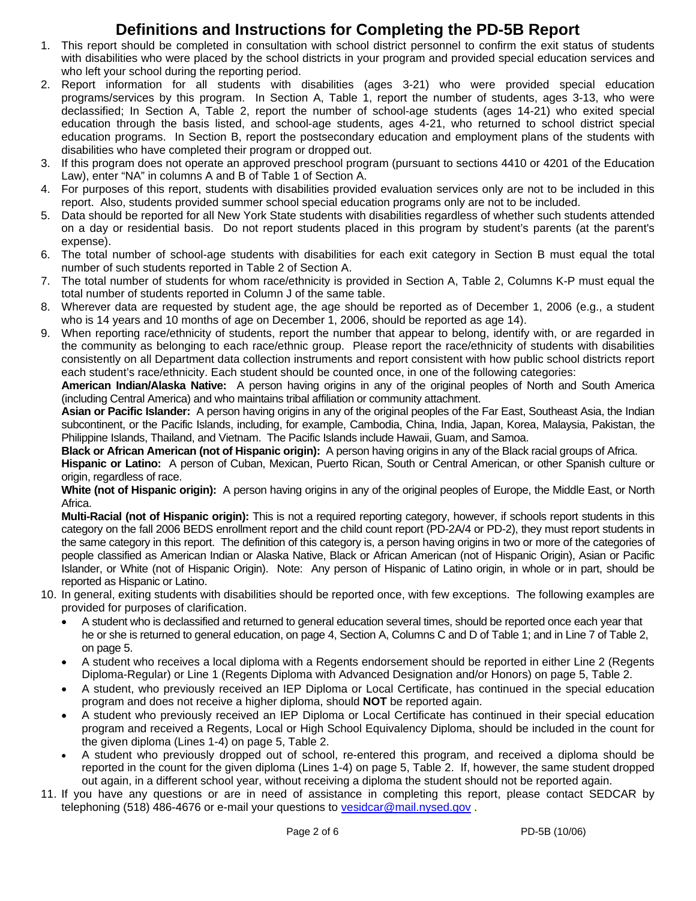### **Definitions and Instructions for Completing the PD-5B Report**

- 1. This report should be completed in consultation with school district personnel to confirm the exit status of students with disabilities who were placed by the school districts in your program and provided special education services and who left your school during the reporting period.
- 2. Report information for all students with disabilities (ages 3-21) who were provided special education programs/services by this program. In Section A, Table 1, report the number of students, ages 3-13, who were declassified; In Section A, Table 2, report the number of school-age students (ages 14-21) who exited special education through the basis listed, and school-age students, ages 4-21, who returned to school district special education programs. In Section B, report the postsecondary education and employment plans of the students with disabilities who have completed their program or dropped out.
- 3. If this program does not operate an approved preschool program (pursuant to sections 4410 or 4201 of the Education Law), enter "NA" in columns A and B of Table 1 of Section A.
- 4. For purposes of this report, students with disabilities provided evaluation services only are not to be included in this report. Also, students provided summer school special education programs only are not to be included.
- 5. Data should be reported for all New York State students with disabilities regardless of whether such students attended on a day or residential basis. Do not report students placed in this program by student's parents (at the parent's expense).
- 6. The total number of school-age students with disabilities for each exit category in Section B must equal the total number of such students reported in Table 2 of Section A.
- 7. The total number of students for whom race/ethnicity is provided in Section A, Table 2, Columns K-P must equal the total number of students reported in Column J of the same table.
- 8. Wherever data are requested by student age, the age should be reported as of December 1, 2006 (e.g., a student who is 14 years and 10 months of age on December 1, 2006, should be reported as age 14).
- 9. When reporting race/ethnicity of students, report the number that appear to belong, identify with, or are regarded in the community as belonging to each race/ethnic group. Please report the race/ethnicity of students with disabilities consistently on all Department data collection instruments and report consistent with how public school districts report each student's race/ethnicity. Each student should be counted once, in one of the following categories:

**American Indian/Alaska Native:** A person having origins in any of the original peoples of North and South America (including Central America) and who maintains tribal affiliation or community attachment.

**Asian or Pacific Islander:** A person having origins in any of the original peoples of the Far East, Southeast Asia, the Indian subcontinent, or the Pacific Islands, including, for example, Cambodia, China, India, Japan, Korea, Malaysia, Pakistan, the Philippine Islands, Thailand, and Vietnam. The Pacific Islands include Hawaii, Guam, and Samoa.

**Black or African American (not of Hispanic origin):** A person having origins in any of the Black racial groups of Africa.

**Hispanic or Latino:** A person of Cuban, Mexican, Puerto Rican, South or Central American, or other Spanish culture or origin, regardless of race.

**White (not of Hispanic origin):** A person having origins in any of the original peoples of Europe, the Middle East, or North Africa.

**Multi-Racial (not of Hispanic origin):** This is not a required reporting category, however, if schools report students in this category on the fall 2006 BEDS enrollment report and the child count report (PD-2A/4 or PD-2), they must report students in the same category in this report. The definition of this category is, a person having origins in two or more of the categories of people classified as American Indian or Alaska Native, Black or African American (not of Hispanic Origin), Asian or Pacific Islander, or White (not of Hispanic Origin). Note: Any person of Hispanic of Latino origin, in whole or in part, should be reported as Hispanic or Latino.

- 10. In general, exiting students with disabilities should be reported once, with few exceptions. The following examples are provided for purposes of clarification.
	- A student who is declassified and returned to general education several times, should be reported once each year that he or she is returned to general education, on page 4, Section A, Columns C and D of Table 1; and in Line 7 of Table 2, on page 5.
	- A student who receives a local diploma with a Regents endorsement should be reported in either Line 2 (Regents Diploma-Regular) or Line 1 (Regents Diploma with Advanced Designation and/or Honors) on page 5, Table 2.
	- A student, who previously received an IEP Diploma or Local Certificate, has continued in the special education program and does not receive a higher diploma, should **NOT** be reported again.
	- A student who previously received an IEP Diploma or Local Certificate has continued in their special education program and received a Regents, Local or High School Equivalency Diploma, should be included in the count for the given diploma (Lines 1-4) on page 5, Table 2.
	- A student who previously dropped out of school, re-entered this program, and received a diploma should be reported in the count for the given diploma (Lines 1-4) on page 5, Table 2. If, however, the same student dropped out again, in a different school year, without receiving a diploma the student should not be reported again.
- 11. If you have any questions or are in need of assistance in completing this report, please contact SEDCAR by telephoning (518) 486-4676 or e-mail your questions to vesidcar@mail.nysed.gov .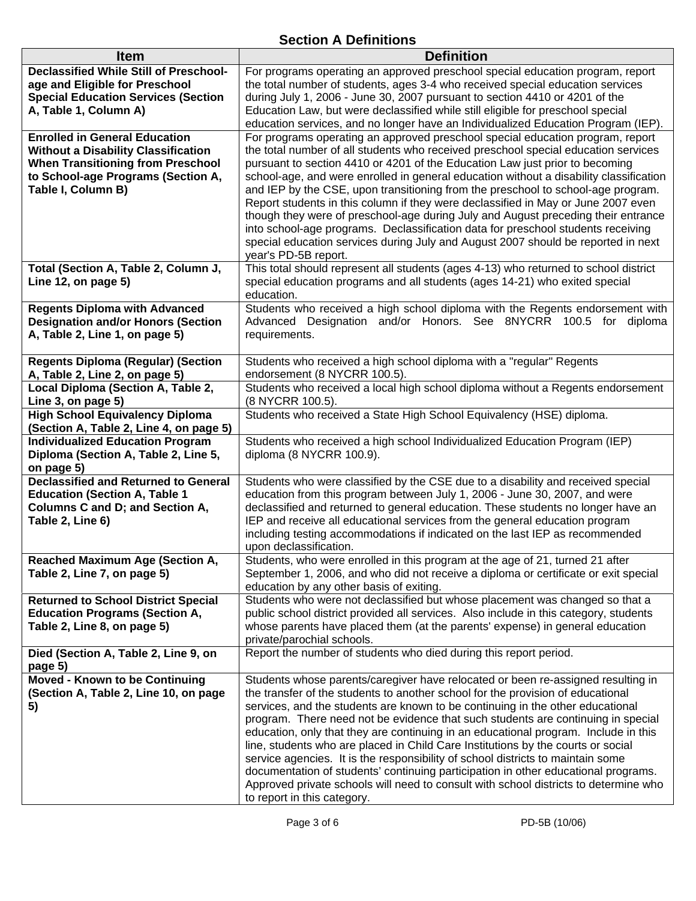#### **Section A Definitions**

| <b>Item</b>                                                                                                                                                                                | <b>Definition</b>                                                                                                                                                                                                                                                                                                                                                                                                                                                                                                                                                                                                                                                                                                                                                                                                    |
|--------------------------------------------------------------------------------------------------------------------------------------------------------------------------------------------|----------------------------------------------------------------------------------------------------------------------------------------------------------------------------------------------------------------------------------------------------------------------------------------------------------------------------------------------------------------------------------------------------------------------------------------------------------------------------------------------------------------------------------------------------------------------------------------------------------------------------------------------------------------------------------------------------------------------------------------------------------------------------------------------------------------------|
| <b>Declassified While Still of Preschool-</b><br>age and Eligible for Preschool<br><b>Special Education Services (Section</b><br>A, Table 1, Column A)                                     | For programs operating an approved preschool special education program, report<br>the total number of students, ages 3-4 who received special education services<br>during July 1, 2006 - June 30, 2007 pursuant to section 4410 or 4201 of the<br>Education Law, but were declassified while still eligible for preschool special<br>education services, and no longer have an Individualized Education Program (IEP).                                                                                                                                                                                                                                                                                                                                                                                              |
| <b>Enrolled in General Education</b><br><b>Without a Disability Classification</b><br><b>When Transitioning from Preschool</b><br>to School-age Programs (Section A,<br>Table I, Column B) | For programs operating an approved preschool special education program, report<br>the total number of all students who received preschool special education services<br>pursuant to section 4410 or 4201 of the Education Law just prior to becoming<br>school-age, and were enrolled in general education without a disability classification<br>and IEP by the CSE, upon transitioning from the preschool to school-age program.<br>Report students in this column if they were declassified in May or June 2007 even<br>though they were of preschool-age during July and August preceding their entrance<br>into school-age programs. Declassification data for preschool students receiving<br>special education services during July and August 2007 should be reported in next<br>year's PD-5B report.        |
| Total (Section A, Table 2, Column J,<br>Line 12, on page 5)                                                                                                                                | This total should represent all students (ages 4-13) who returned to school district<br>special education programs and all students (ages 14-21) who exited special<br>education.                                                                                                                                                                                                                                                                                                                                                                                                                                                                                                                                                                                                                                    |
| <b>Regents Diploma with Advanced</b><br><b>Designation and/or Honors (Section</b><br>A, Table 2, Line 1, on page 5)                                                                        | Students who received a high school diploma with the Regents endorsement with<br>Advanced Designation and/or Honors. See 8NYCRR 100.5 for diploma<br>requirements.                                                                                                                                                                                                                                                                                                                                                                                                                                                                                                                                                                                                                                                   |
| <b>Regents Diploma (Regular) (Section</b><br>A, Table 2, Line 2, on page 5)                                                                                                                | Students who received a high school diploma with a "regular" Regents<br>endorsement (8 NYCRR 100.5).                                                                                                                                                                                                                                                                                                                                                                                                                                                                                                                                                                                                                                                                                                                 |
| Local Diploma (Section A, Table 2,                                                                                                                                                         | Students who received a local high school diploma without a Regents endorsement                                                                                                                                                                                                                                                                                                                                                                                                                                                                                                                                                                                                                                                                                                                                      |
| Line 3, on page 5)                                                                                                                                                                         | (8 NYCRR 100.5).                                                                                                                                                                                                                                                                                                                                                                                                                                                                                                                                                                                                                                                                                                                                                                                                     |
| <b>High School Equivalency Diploma</b><br>(Section A, Table 2, Line 4, on page 5)                                                                                                          | Students who received a State High School Equivalency (HSE) diploma.                                                                                                                                                                                                                                                                                                                                                                                                                                                                                                                                                                                                                                                                                                                                                 |
| <b>Individualized Education Program</b><br>Diploma (Section A, Table 2, Line 5,<br>on page 5)                                                                                              | Students who received a high school Individualized Education Program (IEP)<br>diploma (8 NYCRR 100.9).                                                                                                                                                                                                                                                                                                                                                                                                                                                                                                                                                                                                                                                                                                               |
| <b>Declassified and Returned to General</b><br><b>Education (Section A, Table 1</b><br><b>Columns C and D; and Section A,</b><br>Table 2, Line 6)                                          | Students who were classified by the CSE due to a disability and received special<br>education from this program between July 1, 2006 - June 30, 2007, and were<br>declassified and returned to general education. These students no longer have an<br>IEP and receive all educational services from the general education program<br>including testing accommodations if indicated on the last IEP as recommended<br>upon declassification.                                                                                                                                                                                                                                                                                                                                                                          |
| <b>Reached Maximum Age (Section A,</b><br>Table 2, Line 7, on page 5)                                                                                                                      | Students, who were enrolled in this program at the age of 21, turned 21 after<br>September 1, 2006, and who did not receive a diploma or certificate or exit special<br>education by any other basis of exiting.                                                                                                                                                                                                                                                                                                                                                                                                                                                                                                                                                                                                     |
| <b>Returned to School District Special</b><br><b>Education Programs (Section A,</b><br>Table 2, Line 8, on page 5)                                                                         | Students who were not declassified but whose placement was changed so that a<br>public school district provided all services. Also include in this category, students<br>whose parents have placed them (at the parents' expense) in general education<br>private/parochial schools.                                                                                                                                                                                                                                                                                                                                                                                                                                                                                                                                 |
| Died (Section A, Table 2, Line 9, on<br>page 5)                                                                                                                                            | Report the number of students who died during this report period.                                                                                                                                                                                                                                                                                                                                                                                                                                                                                                                                                                                                                                                                                                                                                    |
| Moved - Known to be Continuing<br>(Section A, Table 2, Line 10, on page<br>5)                                                                                                              | Students whose parents/caregiver have relocated or been re-assigned resulting in<br>the transfer of the students to another school for the provision of educational<br>services, and the students are known to be continuing in the other educational<br>program. There need not be evidence that such students are continuing in special<br>education, only that they are continuing in an educational program. Include in this<br>line, students who are placed in Child Care Institutions by the courts or social<br>service agencies. It is the responsibility of school districts to maintain some<br>documentation of students' continuing participation in other educational programs.<br>Approved private schools will need to consult with school districts to determine who<br>to report in this category. |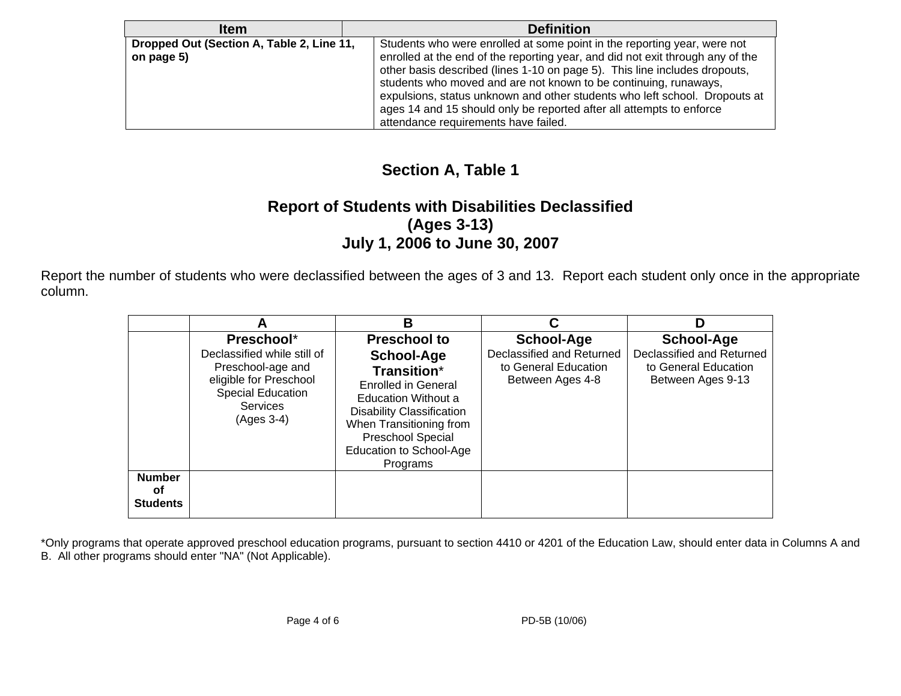| <b>Item</b>                                             | <b>Definition</b>                                                                                                                                                                                                                                                                                                                                                                                                                                                                                          |
|---------------------------------------------------------|------------------------------------------------------------------------------------------------------------------------------------------------------------------------------------------------------------------------------------------------------------------------------------------------------------------------------------------------------------------------------------------------------------------------------------------------------------------------------------------------------------|
| Dropped Out (Section A, Table 2, Line 11,<br>on page 5) | Students who were enrolled at some point in the reporting year, were not<br>enrolled at the end of the reporting year, and did not exit through any of the<br>other basis described (lines 1-10 on page 5). This line includes dropouts,<br>students who moved and are not known to be continuing, runaways,<br>expulsions, status unknown and other students who left school. Dropouts at<br>ages 14 and 15 should only be reported after all attempts to enforce<br>attendance requirements have failed. |

### **Section A, Table 1**

#### **Report of Students with Disabilities Declassified (Ages 3-13) July 1, 2006 to June 30, 2007**

Report the number of students who were declassified between the ages of 3 and 13. Report each student only once in the appropriate column.

|                                        |                                                                                                                                                       | В                                                                                                                                                                                                                                       |                                                                                            |                                                                                             |
|----------------------------------------|-------------------------------------------------------------------------------------------------------------------------------------------------------|-----------------------------------------------------------------------------------------------------------------------------------------------------------------------------------------------------------------------------------------|--------------------------------------------------------------------------------------------|---------------------------------------------------------------------------------------------|
|                                        | Preschool*<br>Declassified while still of<br>Preschool-age and<br>eligible for Preschool<br><b>Special Education</b><br><b>Services</b><br>(Ages 3-4) | <b>Preschool to</b><br>School-Age<br><b>Transition*</b><br><b>Enrolled in General</b><br>Education Without a<br><b>Disability Classification</b><br>When Transitioning from<br>Preschool Special<br>Education to School-Age<br>Programs | <b>School-Age</b><br>Declassified and Returned<br>to General Education<br>Between Ages 4-8 | <b>School-Age</b><br>Declassified and Returned<br>to General Education<br>Between Ages 9-13 |
| <b>Number</b><br>οf<br><b>Students</b> |                                                                                                                                                       |                                                                                                                                                                                                                                         |                                                                                            |                                                                                             |

\*Only programs that operate approved preschool education programs, pursuant to section 4410 or 4201 of the Education Law, should enter data in Columns A and B. All other programs should enter "NA" (Not Applicable).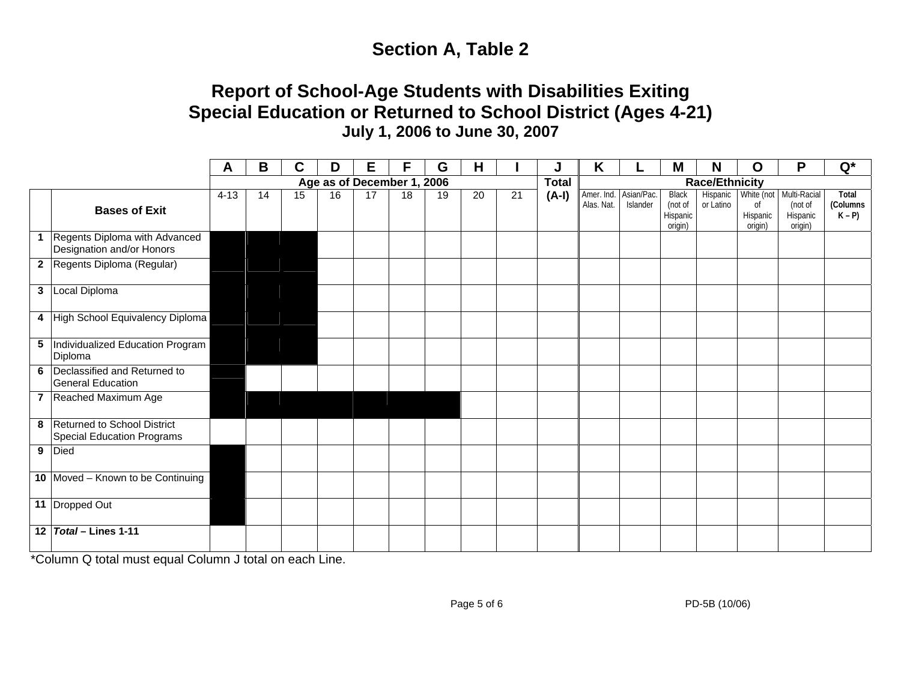# **Section A, Table 2**

## **Report of School-Age Students with Disabilities Exiting Special Education or Returned to School District (Ages 4-21) July 1, 2006 to June 30, 2007**

|              |                                                                    | A        | B  | C  | D  | Е                          | F  | G  | H  |              |                       | K                                   |          | M                                              | N                     | O                                                  | P                                              | $Q^*$                        |
|--------------|--------------------------------------------------------------------|----------|----|----|----|----------------------------|----|----|----|--------------|-----------------------|-------------------------------------|----------|------------------------------------------------|-----------------------|----------------------------------------------------|------------------------------------------------|------------------------------|
|              |                                                                    |          |    |    |    | Age as of December 1, 2006 |    |    |    | <b>Total</b> | <b>Race/Ethnicity</b> |                                     |          |                                                |                       |                                                    |                                                |                              |
|              | <b>Bases of Exit</b>                                               | $4 - 13$ | 14 | 15 | 16 | 17                         | 18 | 19 | 20 | 21           | $(A-I)$               | Amer. Ind. Asian/Pac.<br>Alas. Nat. | Islander | <b>Black</b><br>(not of<br>Hispanic<br>origin) | Hispanic<br>or Latino | White (not<br><sub>of</sub><br>Hispanic<br>origin) | Multi-Racial<br>(not of<br>Hispanic<br>origin) | Total<br>(Columns<br>$K - P$ |
| $\mathbf{1}$ | Regents Diploma with Advanced<br>Designation and/or Honors         |          |    |    |    |                            |    |    |    |              |                       |                                     |          |                                                |                       |                                                    |                                                |                              |
|              | 2 Regents Diploma (Regular)                                        |          |    |    |    |                            |    |    |    |              |                       |                                     |          |                                                |                       |                                                    |                                                |                              |
|              | 3 Local Diploma                                                    |          |    |    |    |                            |    |    |    |              |                       |                                     |          |                                                |                       |                                                    |                                                |                              |
|              | 4 High School Equivalency Diploma                                  |          |    |    |    |                            |    |    |    |              |                       |                                     |          |                                                |                       |                                                    |                                                |                              |
|              | 5 Individualized Education Program<br>Diploma                      |          |    |    |    |                            |    |    |    |              |                       |                                     |          |                                                |                       |                                                    |                                                |                              |
|              | 6 Declassified and Returned to<br><b>General Education</b>         |          |    |    |    |                            |    |    |    |              |                       |                                     |          |                                                |                       |                                                    |                                                |                              |
|              | 7 Reached Maximum Age                                              |          |    |    |    |                            |    |    |    |              |                       |                                     |          |                                                |                       |                                                    |                                                |                              |
|              | 8 Returned to School District<br><b>Special Education Programs</b> |          |    |    |    |                            |    |    |    |              |                       |                                     |          |                                                |                       |                                                    |                                                |                              |
|              | 9 Died                                                             |          |    |    |    |                            |    |    |    |              |                       |                                     |          |                                                |                       |                                                    |                                                |                              |
|              | 10 Moved - Known to be Continuing                                  |          |    |    |    |                            |    |    |    |              |                       |                                     |          |                                                |                       |                                                    |                                                |                              |
|              | 11 Dropped Out                                                     |          |    |    |    |                            |    |    |    |              |                       |                                     |          |                                                |                       |                                                    |                                                |                              |
|              | 12 Total - Lines 1-11                                              |          |    |    |    |                            |    |    |    |              |                       |                                     |          |                                                |                       |                                                    |                                                |                              |

\*Column Q total must equal Column J total on each Line.